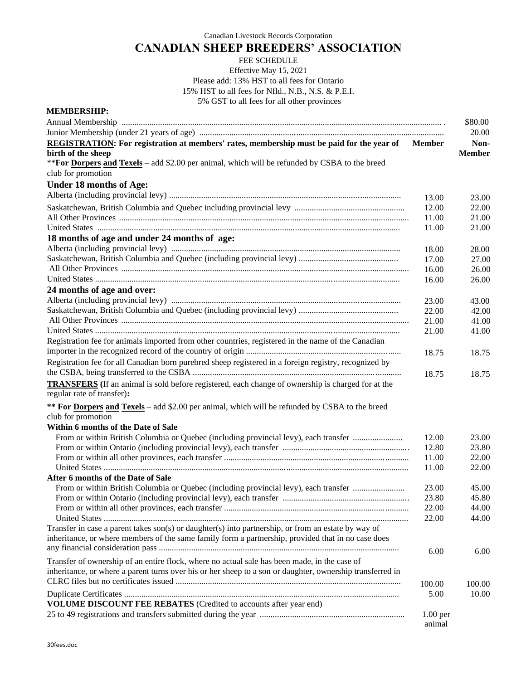Canadian Livestock Records Corporation

## **CANADIAN SHEEP BREEDERS' ASSOCIATION**

## FEE SCHEDULE Effective May 15, 2021 Please add: 13% HST to all fees for Ontario 15% HST to all fees for Nfld., N.B., N.S. & P.E.I. 5% GST to all fees for all other provinces

| \$80.00<br>20.00<br>REGISTRATION: For registration at members' rates, membership must be paid for the year of<br>Non-<br><b>Member</b><br><b>Member</b><br><b>Under 18 months of Age:</b><br>13.00<br>23.00<br>12.00<br>22.00<br>11.00<br>21.00<br>11.00<br>21.00<br>18 months of age and under 24 months of age:<br>28.00<br>18.00<br>17.00<br>27.00<br>16.00<br>26.00<br>16.00<br>26.00<br>23.00<br>43.00<br>22.00<br>42.00<br>21.00<br>41.00<br>21.00<br>41.00<br>Registration fee for animals imported from other countries, registered in the name of the Canadian<br>18.75<br>18.75<br>Registration fee for all Canadian born purebred sheep registered in a foreign registry, recognized by<br>18.75<br>18.75<br><b>TRANSFERS</b> (If an animal is sold before registered, each change of ownership is charged for at the<br>regular rate of transfer):<br>** For Dorpers and Texels - add \$2.00 per animal, which will be refunded by CSBA to the breed<br>From or within British Columbia or Quebec (including provincial levy), each transfer<br>12.00<br>23.00<br>12.80<br>23.80<br>11.00<br>22.00<br>22.00<br>11.00<br>After 6 months of the Date of Sale<br>From or within British Columbia or Quebec (including provincial levy), each transfer<br>23.00<br>45.00<br>23.80<br>45.80<br>22.00<br>44.00<br>22.00<br>44.00<br>Transfer in case a parent takes $son(s)$ or daughter(s) into partnership, or from an estate by way of<br>inheritance, or where members of the same family form a partnership, provided that in no case does<br>6.00<br>6.00<br>Transfer of ownership of an entire flock, where no actual sale has been made, in the case of<br>inheritance, or where a parent turns over his or her sheep to a son or daughter, ownership transferred in<br>100.00<br>100.00<br>5.00<br>10.00<br>VOLUME DISCOUNT FEE REBATES (Credited to accounts after year end)<br>$1.00$ per | <b>MEMBERSHIP:</b>                                                                             |        |  |
|------------------------------------------------------------------------------------------------------------------------------------------------------------------------------------------------------------------------------------------------------------------------------------------------------------------------------------------------------------------------------------------------------------------------------------------------------------------------------------------------------------------------------------------------------------------------------------------------------------------------------------------------------------------------------------------------------------------------------------------------------------------------------------------------------------------------------------------------------------------------------------------------------------------------------------------------------------------------------------------------------------------------------------------------------------------------------------------------------------------------------------------------------------------------------------------------------------------------------------------------------------------------------------------------------------------------------------------------------------------------------------------------------------------------------------------------------------------------------------------------------------------------------------------------------------------------------------------------------------------------------------------------------------------------------------------------------------------------------------------------------------------------------------------------------------------------------------------------------------------------------------------------------------|------------------------------------------------------------------------------------------------|--------|--|
|                                                                                                                                                                                                                                                                                                                                                                                                                                                                                                                                                                                                                                                                                                                                                                                                                                                                                                                                                                                                                                                                                                                                                                                                                                                                                                                                                                                                                                                                                                                                                                                                                                                                                                                                                                                                                                                                                                            |                                                                                                |        |  |
|                                                                                                                                                                                                                                                                                                                                                                                                                                                                                                                                                                                                                                                                                                                                                                                                                                                                                                                                                                                                                                                                                                                                                                                                                                                                                                                                                                                                                                                                                                                                                                                                                                                                                                                                                                                                                                                                                                            |                                                                                                |        |  |
|                                                                                                                                                                                                                                                                                                                                                                                                                                                                                                                                                                                                                                                                                                                                                                                                                                                                                                                                                                                                                                                                                                                                                                                                                                                                                                                                                                                                                                                                                                                                                                                                                                                                                                                                                                                                                                                                                                            |                                                                                                |        |  |
|                                                                                                                                                                                                                                                                                                                                                                                                                                                                                                                                                                                                                                                                                                                                                                                                                                                                                                                                                                                                                                                                                                                                                                                                                                                                                                                                                                                                                                                                                                                                                                                                                                                                                                                                                                                                                                                                                                            | birth of the sheep                                                                             |        |  |
|                                                                                                                                                                                                                                                                                                                                                                                                                                                                                                                                                                                                                                                                                                                                                                                                                                                                                                                                                                                                                                                                                                                                                                                                                                                                                                                                                                                                                                                                                                                                                                                                                                                                                                                                                                                                                                                                                                            | ** For Dorpers and Texels – add \$2.00 per animal, which will be refunded by CSBA to the breed |        |  |
|                                                                                                                                                                                                                                                                                                                                                                                                                                                                                                                                                                                                                                                                                                                                                                                                                                                                                                                                                                                                                                                                                                                                                                                                                                                                                                                                                                                                                                                                                                                                                                                                                                                                                                                                                                                                                                                                                                            | club for promotion                                                                             |        |  |
|                                                                                                                                                                                                                                                                                                                                                                                                                                                                                                                                                                                                                                                                                                                                                                                                                                                                                                                                                                                                                                                                                                                                                                                                                                                                                                                                                                                                                                                                                                                                                                                                                                                                                                                                                                                                                                                                                                            |                                                                                                |        |  |
|                                                                                                                                                                                                                                                                                                                                                                                                                                                                                                                                                                                                                                                                                                                                                                                                                                                                                                                                                                                                                                                                                                                                                                                                                                                                                                                                                                                                                                                                                                                                                                                                                                                                                                                                                                                                                                                                                                            |                                                                                                |        |  |
|                                                                                                                                                                                                                                                                                                                                                                                                                                                                                                                                                                                                                                                                                                                                                                                                                                                                                                                                                                                                                                                                                                                                                                                                                                                                                                                                                                                                                                                                                                                                                                                                                                                                                                                                                                                                                                                                                                            |                                                                                                |        |  |
|                                                                                                                                                                                                                                                                                                                                                                                                                                                                                                                                                                                                                                                                                                                                                                                                                                                                                                                                                                                                                                                                                                                                                                                                                                                                                                                                                                                                                                                                                                                                                                                                                                                                                                                                                                                                                                                                                                            |                                                                                                |        |  |
|                                                                                                                                                                                                                                                                                                                                                                                                                                                                                                                                                                                                                                                                                                                                                                                                                                                                                                                                                                                                                                                                                                                                                                                                                                                                                                                                                                                                                                                                                                                                                                                                                                                                                                                                                                                                                                                                                                            |                                                                                                |        |  |
|                                                                                                                                                                                                                                                                                                                                                                                                                                                                                                                                                                                                                                                                                                                                                                                                                                                                                                                                                                                                                                                                                                                                                                                                                                                                                                                                                                                                                                                                                                                                                                                                                                                                                                                                                                                                                                                                                                            |                                                                                                |        |  |
|                                                                                                                                                                                                                                                                                                                                                                                                                                                                                                                                                                                                                                                                                                                                                                                                                                                                                                                                                                                                                                                                                                                                                                                                                                                                                                                                                                                                                                                                                                                                                                                                                                                                                                                                                                                                                                                                                                            |                                                                                                |        |  |
|                                                                                                                                                                                                                                                                                                                                                                                                                                                                                                                                                                                                                                                                                                                                                                                                                                                                                                                                                                                                                                                                                                                                                                                                                                                                                                                                                                                                                                                                                                                                                                                                                                                                                                                                                                                                                                                                                                            |                                                                                                |        |  |
|                                                                                                                                                                                                                                                                                                                                                                                                                                                                                                                                                                                                                                                                                                                                                                                                                                                                                                                                                                                                                                                                                                                                                                                                                                                                                                                                                                                                                                                                                                                                                                                                                                                                                                                                                                                                                                                                                                            |                                                                                                |        |  |
|                                                                                                                                                                                                                                                                                                                                                                                                                                                                                                                                                                                                                                                                                                                                                                                                                                                                                                                                                                                                                                                                                                                                                                                                                                                                                                                                                                                                                                                                                                                                                                                                                                                                                                                                                                                                                                                                                                            |                                                                                                |        |  |
|                                                                                                                                                                                                                                                                                                                                                                                                                                                                                                                                                                                                                                                                                                                                                                                                                                                                                                                                                                                                                                                                                                                                                                                                                                                                                                                                                                                                                                                                                                                                                                                                                                                                                                                                                                                                                                                                                                            | 24 months of age and over:                                                                     |        |  |
|                                                                                                                                                                                                                                                                                                                                                                                                                                                                                                                                                                                                                                                                                                                                                                                                                                                                                                                                                                                                                                                                                                                                                                                                                                                                                                                                                                                                                                                                                                                                                                                                                                                                                                                                                                                                                                                                                                            |                                                                                                |        |  |
|                                                                                                                                                                                                                                                                                                                                                                                                                                                                                                                                                                                                                                                                                                                                                                                                                                                                                                                                                                                                                                                                                                                                                                                                                                                                                                                                                                                                                                                                                                                                                                                                                                                                                                                                                                                                                                                                                                            |                                                                                                |        |  |
|                                                                                                                                                                                                                                                                                                                                                                                                                                                                                                                                                                                                                                                                                                                                                                                                                                                                                                                                                                                                                                                                                                                                                                                                                                                                                                                                                                                                                                                                                                                                                                                                                                                                                                                                                                                                                                                                                                            |                                                                                                |        |  |
|                                                                                                                                                                                                                                                                                                                                                                                                                                                                                                                                                                                                                                                                                                                                                                                                                                                                                                                                                                                                                                                                                                                                                                                                                                                                                                                                                                                                                                                                                                                                                                                                                                                                                                                                                                                                                                                                                                            |                                                                                                |        |  |
|                                                                                                                                                                                                                                                                                                                                                                                                                                                                                                                                                                                                                                                                                                                                                                                                                                                                                                                                                                                                                                                                                                                                                                                                                                                                                                                                                                                                                                                                                                                                                                                                                                                                                                                                                                                                                                                                                                            |                                                                                                |        |  |
|                                                                                                                                                                                                                                                                                                                                                                                                                                                                                                                                                                                                                                                                                                                                                                                                                                                                                                                                                                                                                                                                                                                                                                                                                                                                                                                                                                                                                                                                                                                                                                                                                                                                                                                                                                                                                                                                                                            |                                                                                                |        |  |
|                                                                                                                                                                                                                                                                                                                                                                                                                                                                                                                                                                                                                                                                                                                                                                                                                                                                                                                                                                                                                                                                                                                                                                                                                                                                                                                                                                                                                                                                                                                                                                                                                                                                                                                                                                                                                                                                                                            |                                                                                                |        |  |
|                                                                                                                                                                                                                                                                                                                                                                                                                                                                                                                                                                                                                                                                                                                                                                                                                                                                                                                                                                                                                                                                                                                                                                                                                                                                                                                                                                                                                                                                                                                                                                                                                                                                                                                                                                                                                                                                                                            |                                                                                                |        |  |
|                                                                                                                                                                                                                                                                                                                                                                                                                                                                                                                                                                                                                                                                                                                                                                                                                                                                                                                                                                                                                                                                                                                                                                                                                                                                                                                                                                                                                                                                                                                                                                                                                                                                                                                                                                                                                                                                                                            |                                                                                                |        |  |
|                                                                                                                                                                                                                                                                                                                                                                                                                                                                                                                                                                                                                                                                                                                                                                                                                                                                                                                                                                                                                                                                                                                                                                                                                                                                                                                                                                                                                                                                                                                                                                                                                                                                                                                                                                                                                                                                                                            |                                                                                                |        |  |
|                                                                                                                                                                                                                                                                                                                                                                                                                                                                                                                                                                                                                                                                                                                                                                                                                                                                                                                                                                                                                                                                                                                                                                                                                                                                                                                                                                                                                                                                                                                                                                                                                                                                                                                                                                                                                                                                                                            |                                                                                                |        |  |
|                                                                                                                                                                                                                                                                                                                                                                                                                                                                                                                                                                                                                                                                                                                                                                                                                                                                                                                                                                                                                                                                                                                                                                                                                                                                                                                                                                                                                                                                                                                                                                                                                                                                                                                                                                                                                                                                                                            | club for promotion                                                                             |        |  |
|                                                                                                                                                                                                                                                                                                                                                                                                                                                                                                                                                                                                                                                                                                                                                                                                                                                                                                                                                                                                                                                                                                                                                                                                                                                                                                                                                                                                                                                                                                                                                                                                                                                                                                                                                                                                                                                                                                            | Within 6 months of the Date of Sale                                                            |        |  |
|                                                                                                                                                                                                                                                                                                                                                                                                                                                                                                                                                                                                                                                                                                                                                                                                                                                                                                                                                                                                                                                                                                                                                                                                                                                                                                                                                                                                                                                                                                                                                                                                                                                                                                                                                                                                                                                                                                            |                                                                                                |        |  |
|                                                                                                                                                                                                                                                                                                                                                                                                                                                                                                                                                                                                                                                                                                                                                                                                                                                                                                                                                                                                                                                                                                                                                                                                                                                                                                                                                                                                                                                                                                                                                                                                                                                                                                                                                                                                                                                                                                            |                                                                                                |        |  |
|                                                                                                                                                                                                                                                                                                                                                                                                                                                                                                                                                                                                                                                                                                                                                                                                                                                                                                                                                                                                                                                                                                                                                                                                                                                                                                                                                                                                                                                                                                                                                                                                                                                                                                                                                                                                                                                                                                            |                                                                                                |        |  |
|                                                                                                                                                                                                                                                                                                                                                                                                                                                                                                                                                                                                                                                                                                                                                                                                                                                                                                                                                                                                                                                                                                                                                                                                                                                                                                                                                                                                                                                                                                                                                                                                                                                                                                                                                                                                                                                                                                            |                                                                                                |        |  |
|                                                                                                                                                                                                                                                                                                                                                                                                                                                                                                                                                                                                                                                                                                                                                                                                                                                                                                                                                                                                                                                                                                                                                                                                                                                                                                                                                                                                                                                                                                                                                                                                                                                                                                                                                                                                                                                                                                            |                                                                                                |        |  |
|                                                                                                                                                                                                                                                                                                                                                                                                                                                                                                                                                                                                                                                                                                                                                                                                                                                                                                                                                                                                                                                                                                                                                                                                                                                                                                                                                                                                                                                                                                                                                                                                                                                                                                                                                                                                                                                                                                            |                                                                                                |        |  |
|                                                                                                                                                                                                                                                                                                                                                                                                                                                                                                                                                                                                                                                                                                                                                                                                                                                                                                                                                                                                                                                                                                                                                                                                                                                                                                                                                                                                                                                                                                                                                                                                                                                                                                                                                                                                                                                                                                            |                                                                                                |        |  |
|                                                                                                                                                                                                                                                                                                                                                                                                                                                                                                                                                                                                                                                                                                                                                                                                                                                                                                                                                                                                                                                                                                                                                                                                                                                                                                                                                                                                                                                                                                                                                                                                                                                                                                                                                                                                                                                                                                            |                                                                                                |        |  |
|                                                                                                                                                                                                                                                                                                                                                                                                                                                                                                                                                                                                                                                                                                                                                                                                                                                                                                                                                                                                                                                                                                                                                                                                                                                                                                                                                                                                                                                                                                                                                                                                                                                                                                                                                                                                                                                                                                            |                                                                                                |        |  |
|                                                                                                                                                                                                                                                                                                                                                                                                                                                                                                                                                                                                                                                                                                                                                                                                                                                                                                                                                                                                                                                                                                                                                                                                                                                                                                                                                                                                                                                                                                                                                                                                                                                                                                                                                                                                                                                                                                            |                                                                                                |        |  |
|                                                                                                                                                                                                                                                                                                                                                                                                                                                                                                                                                                                                                                                                                                                                                                                                                                                                                                                                                                                                                                                                                                                                                                                                                                                                                                                                                                                                                                                                                                                                                                                                                                                                                                                                                                                                                                                                                                            |                                                                                                |        |  |
|                                                                                                                                                                                                                                                                                                                                                                                                                                                                                                                                                                                                                                                                                                                                                                                                                                                                                                                                                                                                                                                                                                                                                                                                                                                                                                                                                                                                                                                                                                                                                                                                                                                                                                                                                                                                                                                                                                            |                                                                                                |        |  |
|                                                                                                                                                                                                                                                                                                                                                                                                                                                                                                                                                                                                                                                                                                                                                                                                                                                                                                                                                                                                                                                                                                                                                                                                                                                                                                                                                                                                                                                                                                                                                                                                                                                                                                                                                                                                                                                                                                            |                                                                                                |        |  |
|                                                                                                                                                                                                                                                                                                                                                                                                                                                                                                                                                                                                                                                                                                                                                                                                                                                                                                                                                                                                                                                                                                                                                                                                                                                                                                                                                                                                                                                                                                                                                                                                                                                                                                                                                                                                                                                                                                            |                                                                                                |        |  |
|                                                                                                                                                                                                                                                                                                                                                                                                                                                                                                                                                                                                                                                                                                                                                                                                                                                                                                                                                                                                                                                                                                                                                                                                                                                                                                                                                                                                                                                                                                                                                                                                                                                                                                                                                                                                                                                                                                            |                                                                                                |        |  |
|                                                                                                                                                                                                                                                                                                                                                                                                                                                                                                                                                                                                                                                                                                                                                                                                                                                                                                                                                                                                                                                                                                                                                                                                                                                                                                                                                                                                                                                                                                                                                                                                                                                                                                                                                                                                                                                                                                            |                                                                                                |        |  |
|                                                                                                                                                                                                                                                                                                                                                                                                                                                                                                                                                                                                                                                                                                                                                                                                                                                                                                                                                                                                                                                                                                                                                                                                                                                                                                                                                                                                                                                                                                                                                                                                                                                                                                                                                                                                                                                                                                            |                                                                                                |        |  |
|                                                                                                                                                                                                                                                                                                                                                                                                                                                                                                                                                                                                                                                                                                                                                                                                                                                                                                                                                                                                                                                                                                                                                                                                                                                                                                                                                                                                                                                                                                                                                                                                                                                                                                                                                                                                                                                                                                            |                                                                                                | animal |  |